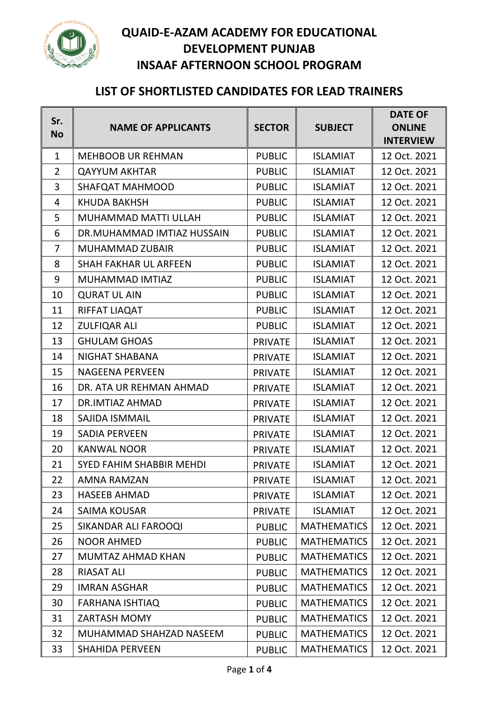

## **QUAID-E-AZAM ACADEMY FOR EDUCATIONAL DEVELOPMENT PUNJAB INSAAF AFTERNOON SCHOOL PROGRAM**

## **LIST OF SHORTLISTED CANDIDATES FOR LEAD TRAINERS**

| Sr.<br><b>No</b> | <b>NAME OF APPLICANTS</b>       | <b>SECTOR</b>  | <b>SUBJECT</b>     | <b>DATE OF</b><br><b>ONLINE</b><br><b>INTERVIEW</b> |
|------------------|---------------------------------|----------------|--------------------|-----------------------------------------------------|
| $\mathbf{1}$     | <b>MEHBOOB UR REHMAN</b>        | <b>PUBLIC</b>  | <b>ISLAMIAT</b>    | 12 Oct. 2021                                        |
| $\overline{2}$   | <b>QAYYUM AKHTAR</b>            | <b>PUBLIC</b>  | <b>ISLAMIAT</b>    | 12 Oct. 2021                                        |
| 3                | <b>SHAFQAT MAHMOOD</b>          | <b>PUBLIC</b>  | <b>ISLAMIAT</b>    | 12 Oct. 2021                                        |
| 4                | <b>KHUDA BAKHSH</b>             | <b>PUBLIC</b>  | <b>ISLAMIAT</b>    | 12 Oct. 2021                                        |
| 5                | MUHAMMAD MATTI ULLAH            | <b>PUBLIC</b>  | <b>ISLAMIAT</b>    | 12 Oct. 2021                                        |
| 6                | DR.MUHAMMAD IMTIAZ HUSSAIN      | <b>PUBLIC</b>  | <b>ISLAMIAT</b>    | 12 Oct. 2021                                        |
| $\overline{7}$   | <b>MUHAMMAD ZUBAIR</b>          | <b>PUBLIC</b>  | <b>ISLAMIAT</b>    | 12 Oct. 2021                                        |
| 8                | <b>SHAH FAKHAR UL ARFEEN</b>    | <b>PUBLIC</b>  | <b>ISLAMIAT</b>    | 12 Oct. 2021                                        |
| 9                | MUHAMMAD IMTIAZ                 | <b>PUBLIC</b>  | <b>ISLAMIAT</b>    | 12 Oct. 2021                                        |
| 10               | <b>QURAT UL AIN</b>             | <b>PUBLIC</b>  | <b>ISLAMIAT</b>    | 12 Oct. 2021                                        |
| 11               | RIFFAT LIAQAT                   | <b>PUBLIC</b>  | <b>ISLAMIAT</b>    | 12 Oct. 2021                                        |
| 12               | <b>ZULFIQAR ALI</b>             | <b>PUBLIC</b>  | <b>ISLAMIAT</b>    | 12 Oct. 2021                                        |
| 13               | <b>GHULAM GHOAS</b>             | <b>PRIVATE</b> | <b>ISLAMIAT</b>    | 12 Oct. 2021                                        |
| 14               | NIGHAT SHABANA                  | <b>PRIVATE</b> | <b>ISLAMIAT</b>    | 12 Oct. 2021                                        |
| 15               | <b>NAGEENA PERVEEN</b>          | <b>PRIVATE</b> | <b>ISLAMIAT</b>    | 12 Oct. 2021                                        |
| 16               | DR. ATA UR REHMAN AHMAD         | <b>PRIVATE</b> | <b>ISLAMIAT</b>    | 12 Oct. 2021                                        |
| 17               | DR.IMTIAZ AHMAD                 | <b>PRIVATE</b> | <b>ISLAMIAT</b>    | 12 Oct. 2021                                        |
| 18               | <b>SAJIDA ISMMAIL</b>           | <b>PRIVATE</b> | <b>ISLAMIAT</b>    | 12 Oct. 2021                                        |
| 19               | <b>SADIA PERVEEN</b>            | <b>PRIVATE</b> | <b>ISLAMIAT</b>    | 12 Oct. 2021                                        |
| 20               | <b>KANWAL NOOR</b>              | <b>PRIVATE</b> | <b>ISLAMIAT</b>    | 12 Oct. 2021                                        |
| 21               | <b>SYED FAHIM SHABBIR MEHDI</b> | <b>PRIVATE</b> | <b>ISLAMIAT</b>    | 12 Oct. 2021                                        |
| 22               | AMNA RAMZAN                     | <b>PRIVATE</b> | <b>ISLAMIAT</b>    | 12 Oct. 2021                                        |
| 23               | <b>HASEEB AHMAD</b>             | <b>PRIVATE</b> | <b>ISLAMIAT</b>    | 12 Oct. 2021                                        |
| 24               | <b>SAIMA KOUSAR</b>             | <b>PRIVATE</b> | <b>ISLAMIAT</b>    | 12 Oct. 2021                                        |
| 25               | SIKANDAR ALI FAROOQI            | <b>PUBLIC</b>  | <b>MATHEMATICS</b> | 12 Oct. 2021                                        |
| 26               | <b>NOOR AHMED</b>               | <b>PUBLIC</b>  | <b>MATHEMATICS</b> | 12 Oct. 2021                                        |
| 27               | MUMTAZ AHMAD KHAN               | <b>PUBLIC</b>  | <b>MATHEMATICS</b> | 12 Oct. 2021                                        |
| 28               | <b>RIASAT ALI</b>               | <b>PUBLIC</b>  | <b>MATHEMATICS</b> | 12 Oct. 2021                                        |
| 29               | <b>IMRAN ASGHAR</b>             | <b>PUBLIC</b>  | <b>MATHEMATICS</b> | 12 Oct. 2021                                        |
| 30               | <b>FARHANA ISHTIAQ</b>          | <b>PUBLIC</b>  | <b>MATHEMATICS</b> | 12 Oct. 2021                                        |
| 31               | <b>ZARTASH MOMY</b>             | <b>PUBLIC</b>  | <b>MATHEMATICS</b> | 12 Oct. 2021                                        |
| 32               | MUHAMMAD SHAHZAD NASEEM         | <b>PUBLIC</b>  | <b>MATHEMATICS</b> | 12 Oct. 2021                                        |
| 33               | <b>SHAHIDA PERVEEN</b>          | <b>PUBLIC</b>  | <b>MATHEMATICS</b> | 12 Oct. 2021                                        |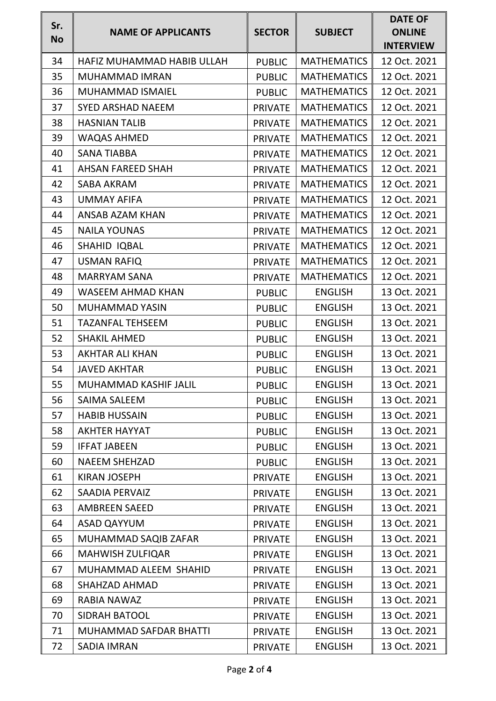| Sr.<br><b>No</b> | <b>NAME OF APPLICANTS</b>  | <b>SECTOR</b>  | <b>SUBJECT</b>     | <b>DATE OF</b><br><b>ONLINE</b><br><b>INTERVIEW</b> |
|------------------|----------------------------|----------------|--------------------|-----------------------------------------------------|
| 34               | HAFIZ MUHAMMAD HABIB ULLAH | <b>PUBLIC</b>  | <b>MATHEMATICS</b> | 12 Oct. 2021                                        |
| 35               | MUHAMMAD IMRAN             | <b>PUBLIC</b>  | <b>MATHEMATICS</b> | 12 Oct. 2021                                        |
| 36               | <b>MUHAMMAD ISMAIEL</b>    | <b>PUBLIC</b>  | <b>MATHEMATICS</b> | 12 Oct. 2021                                        |
| 37               | <b>SYED ARSHAD NAEEM</b>   | <b>PRIVATE</b> | <b>MATHEMATICS</b> | 12 Oct. 2021                                        |
| 38               | <b>HASNIAN TALIB</b>       | <b>PRIVATE</b> | <b>MATHEMATICS</b> | 12 Oct. 2021                                        |
| 39               | <b>WAQAS AHMED</b>         | <b>PRIVATE</b> | <b>MATHEMATICS</b> | 12 Oct. 2021                                        |
| 40               | <b>SANA TIABBA</b>         | <b>PRIVATE</b> | <b>MATHEMATICS</b> | 12 Oct. 2021                                        |
| 41               | <b>AHSAN FAREED SHAH</b>   | <b>PRIVATE</b> | <b>MATHEMATICS</b> | 12 Oct. 2021                                        |
| 42               | <b>SABA AKRAM</b>          | <b>PRIVATE</b> | <b>MATHEMATICS</b> | 12 Oct. 2021                                        |
| 43               | <b>UMMAY AFIFA</b>         | <b>PRIVATE</b> | <b>MATHEMATICS</b> | 12 Oct. 2021                                        |
| 44               | <b>ANSAB AZAM KHAN</b>     | <b>PRIVATE</b> | <b>MATHEMATICS</b> | 12 Oct. 2021                                        |
| 45               | <b>NAILA YOUNAS</b>        | <b>PRIVATE</b> | <b>MATHEMATICS</b> | 12 Oct. 2021                                        |
| 46               | SHAHID IQBAL               | <b>PRIVATE</b> | <b>MATHEMATICS</b> | 12 Oct. 2021                                        |
| 47               | <b>USMAN RAFIQ</b>         | <b>PRIVATE</b> | <b>MATHEMATICS</b> | 12 Oct. 2021                                        |
| 48               | <b>MARRYAM SANA</b>        | <b>PRIVATE</b> | <b>MATHEMATICS</b> | 12 Oct. 2021                                        |
| 49               | <b>WASEEM AHMAD KHAN</b>   | <b>PUBLIC</b>  | <b>ENGLISH</b>     | 13 Oct. 2021                                        |
| 50               | MUHAMMAD YASIN             | <b>PUBLIC</b>  | <b>ENGLISH</b>     | 13 Oct. 2021                                        |
| 51               | <b>TAZANFAL TEHSEEM</b>    | <b>PUBLIC</b>  | <b>ENGLISH</b>     | 13 Oct. 2021                                        |
| 52               | <b>SHAKIL AHMED</b>        | <b>PUBLIC</b>  | <b>ENGLISH</b>     | 13 Oct. 2021                                        |
| 53               | <b>AKHTAR ALI KHAN</b>     | <b>PUBLIC</b>  | <b>ENGLISH</b>     | 13 Oct. 2021                                        |
| 54               | <b>JAVED AKHTAR</b>        | <b>PUBLIC</b>  | <b>ENGLISH</b>     | 13 Oct. 2021                                        |
| 55               | MUHAMMAD KASHIF JALIL      | <b>PUBLIC</b>  | <b>ENGLISH</b>     | 13 Oct. 2021                                        |
| 56               | <b>SAIMA SALEEM</b>        | <b>PUBLIC</b>  | <b>ENGLISH</b>     | 13 Oct. 2021                                        |
| 57               | <b>HABIB HUSSAIN</b>       | <b>PUBLIC</b>  | <b>ENGLISH</b>     | 13 Oct. 2021                                        |
| 58               | <b>AKHTER HAYYAT</b>       | <b>PUBLIC</b>  | <b>ENGLISH</b>     | 13 Oct. 2021                                        |
| 59               | <b>IFFAT JABEEN</b>        | <b>PUBLIC</b>  | <b>ENGLISH</b>     | 13 Oct. 2021                                        |
| 60               | <b>NAEEM SHEHZAD</b>       | <b>PUBLIC</b>  | <b>ENGLISH</b>     | 13 Oct. 2021                                        |
| 61               | <b>KIRAN JOSEPH</b>        | <b>PRIVATE</b> | <b>ENGLISH</b>     | 13 Oct. 2021                                        |
| 62               | <b>SAADIA PERVAIZ</b>      | <b>PRIVATE</b> | <b>ENGLISH</b>     | 13 Oct. 2021                                        |
| 63               | <b>AMBREEN SAEED</b>       | <b>PRIVATE</b> | <b>ENGLISH</b>     | 13 Oct. 2021                                        |
| 64               | <b>ASAD QAYYUM</b>         | <b>PRIVATE</b> | <b>ENGLISH</b>     | 13 Oct. 2021                                        |
| 65               | MUHAMMAD SAQIB ZAFAR       | <b>PRIVATE</b> | <b>ENGLISH</b>     | 13 Oct. 2021                                        |
| 66               | <b>MAHWISH ZULFIQAR</b>    | <b>PRIVATE</b> | <b>ENGLISH</b>     | 13 Oct. 2021                                        |
| 67               | MUHAMMAD ALEEM SHAHID      | <b>PRIVATE</b> | <b>ENGLISH</b>     | 13 Oct. 2021                                        |
| 68               | <b>SHAHZAD AHMAD</b>       | <b>PRIVATE</b> | <b>ENGLISH</b>     | 13 Oct. 2021                                        |
| 69               | RABIA NAWAZ                | <b>PRIVATE</b> | <b>ENGLISH</b>     | 13 Oct. 2021                                        |
| 70               | <b>SIDRAH BATOOL</b>       | <b>PRIVATE</b> | <b>ENGLISH</b>     | 13 Oct. 2021                                        |
| 71               | MUHAMMAD SAFDAR BHATTI     | <b>PRIVATE</b> | <b>ENGLISH</b>     | 13 Oct. 2021                                        |
| 72               | <b>SADIA IMRAN</b>         | <b>PRIVATE</b> | <b>ENGLISH</b>     | 13 Oct. 2021                                        |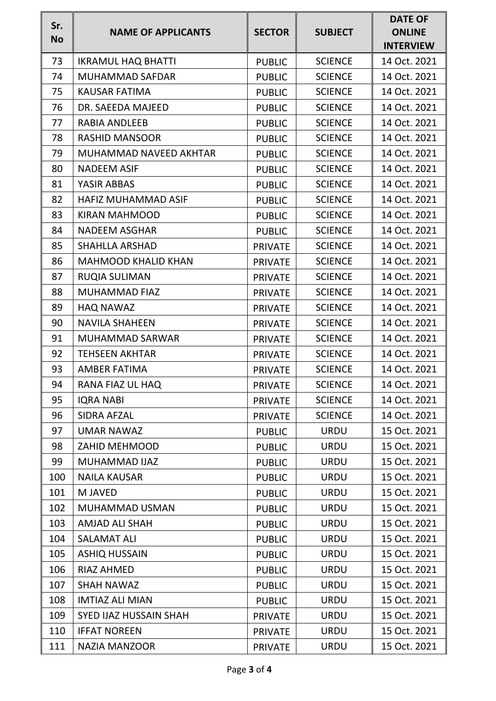| Sr.<br><b>No</b> | <b>NAME OF APPLICANTS</b>     | <b>SECTOR</b>  | <b>SUBJECT</b> | <b>DATE OF</b><br><b>ONLINE</b><br><b>INTERVIEW</b> |
|------------------|-------------------------------|----------------|----------------|-----------------------------------------------------|
| 73               | <b>IKRAMUL HAQ BHATTI</b>     | <b>PUBLIC</b>  | <b>SCIENCE</b> | 14 Oct. 2021                                        |
| 74               | <b>MUHAMMAD SAFDAR</b>        | <b>PUBLIC</b>  | <b>SCIENCE</b> | 14 Oct. 2021                                        |
| 75               | <b>KAUSAR FATIMA</b>          | <b>PUBLIC</b>  | <b>SCIENCE</b> | 14 Oct. 2021                                        |
| 76               | DR. SAEEDA MAJEED             | <b>PUBLIC</b>  | <b>SCIENCE</b> | 14 Oct. 2021                                        |
| 77               | <b>RABIA ANDLEEB</b>          | <b>PUBLIC</b>  | <b>SCIENCE</b> | 14 Oct. 2021                                        |
| 78               | <b>RASHID MANSOOR</b>         | <b>PUBLIC</b>  | <b>SCIENCE</b> | 14 Oct. 2021                                        |
| 79               | MUHAMMAD NAVEED AKHTAR        | <b>PUBLIC</b>  | <b>SCIENCE</b> | 14 Oct. 2021                                        |
| 80               | <b>NADEEM ASIF</b>            | <b>PUBLIC</b>  | <b>SCIENCE</b> | 14 Oct. 2021                                        |
| 81               | YASIR ABBAS                   | <b>PUBLIC</b>  | <b>SCIENCE</b> | 14 Oct. 2021                                        |
| 82               | HAFIZ MUHAMMAD ASIF           | <b>PUBLIC</b>  | <b>SCIENCE</b> | 14 Oct. 2021                                        |
| 83               | <b>KIRAN MAHMOOD</b>          | <b>PUBLIC</b>  | <b>SCIENCE</b> | 14 Oct. 2021                                        |
| 84               | <b>NADEEM ASGHAR</b>          | <b>PUBLIC</b>  | <b>SCIENCE</b> | 14 Oct. 2021                                        |
| 85               | <b>SHAHLLA ARSHAD</b>         | <b>PRIVATE</b> | <b>SCIENCE</b> | 14 Oct. 2021                                        |
| 86               | <b>MAHMOOD KHALID KHAN</b>    | <b>PRIVATE</b> | <b>SCIENCE</b> | 14 Oct. 2021                                        |
| 87               | RUQIA SULIMAN                 | <b>PRIVATE</b> | <b>SCIENCE</b> | 14 Oct. 2021                                        |
| 88               | <b>MUHAMMAD FIAZ</b>          | <b>PRIVATE</b> | <b>SCIENCE</b> | 14 Oct. 2021                                        |
| 89               | <b>HAQ NAWAZ</b>              | <b>PRIVATE</b> | <b>SCIENCE</b> | 14 Oct. 2021                                        |
| 90               | <b>NAVILA SHAHEEN</b>         | <b>PRIVATE</b> | <b>SCIENCE</b> | 14 Oct. 2021                                        |
| 91               | MUHAMMAD SARWAR               | <b>PRIVATE</b> | <b>SCIENCE</b> | 14 Oct. 2021                                        |
| 92               | <b>TEHSEEN AKHTAR</b>         | <b>PRIVATE</b> | <b>SCIENCE</b> | 14 Oct. 2021                                        |
| 93               | <b>AMBER FATIMA</b>           | <b>PRIVATE</b> | <b>SCIENCE</b> | 14 Oct. 2021                                        |
| 94               | RANA FIAZ UL HAQ              | <b>PRIVATE</b> | <b>SCIENCE</b> | 14 Oct. 2021                                        |
| 95               | <b>IQRA NABI</b>              | <b>PRIVATE</b> | <b>SCIENCE</b> | 14 Oct. 2021                                        |
| 96               | <b>SIDRA AFZAL</b>            | <b>PRIVATE</b> | <b>SCIENCE</b> | 14 Oct. 2021                                        |
| 97               | <b>UMAR NAWAZ</b>             | <b>PUBLIC</b>  | <b>URDU</b>    | 15 Oct. 2021                                        |
| 98               | ZAHID MEHMOOD                 | <b>PUBLIC</b>  | <b>URDU</b>    | 15 Oct. 2021                                        |
| 99               | MUHAMMAD IJAZ                 | <b>PUBLIC</b>  | <b>URDU</b>    | 15 Oct. 2021                                        |
| 100              | <b>NAILA KAUSAR</b>           | <b>PUBLIC</b>  | <b>URDU</b>    | 15 Oct. 2021                                        |
| 101              | M JAVED                       | <b>PUBLIC</b>  | <b>URDU</b>    | 15 Oct. 2021                                        |
| 102              | MUHAMMAD USMAN                | <b>PUBLIC</b>  | <b>URDU</b>    | 15 Oct. 2021                                        |
| 103              | AMJAD ALI SHAH                | <b>PUBLIC</b>  | <b>URDU</b>    | 15 Oct. 2021                                        |
| 104              | <b>SALAMAT ALI</b>            | <b>PUBLIC</b>  | <b>URDU</b>    | 15 Oct. 2021                                        |
| 105              | <b>ASHIQ HUSSAIN</b>          | <b>PUBLIC</b>  | <b>URDU</b>    | 15 Oct. 2021                                        |
| 106              | <b>RIAZ AHMED</b>             | <b>PUBLIC</b>  | <b>URDU</b>    | 15 Oct. 2021                                        |
| 107              | <b>SHAH NAWAZ</b>             | <b>PUBLIC</b>  | <b>URDU</b>    | 15 Oct. 2021                                        |
| 108              | <b>IMTIAZ ALI MIAN</b>        | <b>PUBLIC</b>  | <b>URDU</b>    | 15 Oct. 2021                                        |
| 109              | <b>SYED IJAZ HUSSAIN SHAH</b> | <b>PRIVATE</b> | <b>URDU</b>    | 15 Oct. 2021                                        |
| 110              | <b>IFFAT NOREEN</b>           | <b>PRIVATE</b> | <b>URDU</b>    | 15 Oct. 2021                                        |
| 111              | <b>NAZIA MANZOOR</b>          | <b>PRIVATE</b> | <b>URDU</b>    | 15 Oct. 2021                                        |